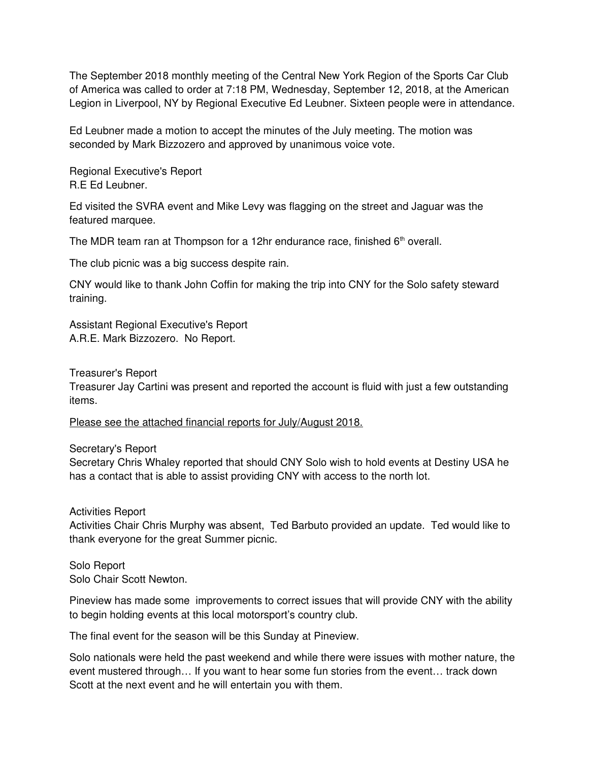The September 2018 monthly meeting of the Central New York Region of the Sports Car Club of America was called to order at 7:18 PM, Wednesday, September 12, 2018, at the American Legion in Liverpool, NY by Regional Executive Ed Leubner. Sixteen people were in attendance.

Ed Leubner made a motion to accept the minutes of the July meeting. The motion was seconded by Mark Bizzozero and approved by unanimous voice vote.

Regional Executive's Report R.E Ed Leubner.

Ed visited the SVRA event and Mike Levy was flagging on the street and Jaguar was the featured marquee.

The MDR team ran at Thompson for a 12hr endurance race, finished  $6<sup>th</sup>$  overall.

The club picnic was a big success despite rain.

CNY would like to thank John Coffin for making the trip into CNY for the Solo safety steward training.

Assistant Regional Executive's Report A.R.E. Mark Bizzozero. No Report.

Treasurer's Report

Treasurer Jay Cartini was present and reported the account is fluid with just a few outstanding items.

Please see the attached financial reports for July/August 2018.

Secretary's Report

Secretary Chris Whaley reported that should CNY Solo wish to hold events at Destiny USA he has a contact that is able to assist providing CNY with access to the north lot.

Activities Report

Activities Chair Chris Murphy was absent, Ted Barbuto provided an update. Ted would like to thank everyone for the great Summer picnic.

Solo Report Solo Chair Scott Newton.

Pineview has made some improvements to correct issues that will provide CNY with the ability to begin holding events at this local motorsport's country club.

The final event for the season will be this Sunday at Pineview.

Solo nationals were held the past weekend and while there were issues with mother nature, the event mustered through… If you want to hear some fun stories from the event… track down Scott at the next event and he will entertain you with them.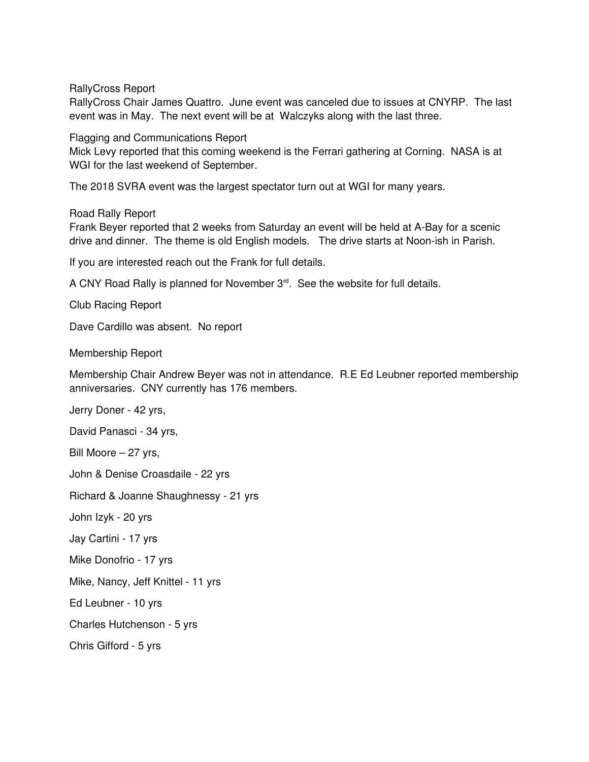RallyCross Report

RallyCross Chair James Quattro. June event was canceled due to issues at CNYRP. The last event was in May. The next event will be at Walczyks along with the last three.

Flagging and Communications Report

Mick Levy reported that this coming weekend is the Ferrari gathering at Corning. NASA is at WGI for the last weekend of September.

The 2018 SVRA event was the largest spectator turn out at WGI for many years.

Road Rally Report

Frank Beyer reported that 2 weeks from Saturday an event will be held at A-Bay for a scenic drive and dinner. The theme is old English models. The drive starts at Noon-ish in Parish.

If you are interested reach out the Frank for full details.

A CNY Road Rally is planned for November 3<sup>rd</sup>. See the website for full details.

Club Racing Report

Dave Cardillo was absent. No report

Membership Report

Membership Chair Andrew Beyer was not in attendance. R.E Ed Leubner reported membership anniversaries. CNY currently has 176 members.

Jerry Doner - 42 yrs,

David Panasci - 34 yrs,

Bill Moore – 27 yrs,

John & Denise Croasdaile - 22 yrs

Richard & Joanne Shaughnessy 21 yrs

John Izyk - 20 yrs

Jay Cartini - 17 yrs

Mike Donofrio - 17 yrs

Mike, Nancy, Jeff Knittel - 11 yrs

Ed Leubner - 10 yrs

Charles Hutchenson - 5 yrs

Chris Gifford - 5 yrs